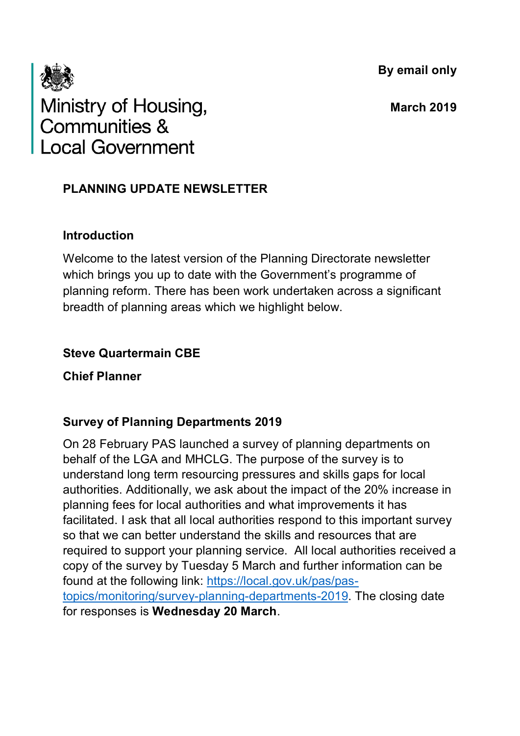**By email only**



**March 2019**

# **PLANNING UPDATE NEWSLETTER**

#### **Introduction**

Welcome to the latest version of the Planning Directorate newsletter which brings you up to date with the Government's programme of planning reform. There has been work undertaken across a significant breadth of planning areas which we highlight below.

#### **Steve Quartermain CBE**

**Chief Planner**

### **Survey of Planning Departments 2019**

On 28 February PAS launched a survey of planning departments on behalf of the LGA and MHCLG. The purpose of the survey is to understand long term resourcing pressures and skills gaps for local authorities. Additionally, we ask about the impact of the 20% increase in planning fees for local authorities and what improvements it has facilitated. I ask that all local authorities respond to this important survey so that we can better understand the skills and resources that are required to support your planning service. All local authorities received a copy of the survey by Tuesday 5 March and further information can be found at the following link: [https://local.gov.uk/pas/pas](https://local.gov.uk/pas/pas-topics/monitoring/survey-planning-departments-2019)[topics/monitoring/survey-planning-departments-2019.](https://local.gov.uk/pas/pas-topics/monitoring/survey-planning-departments-2019) The closing date for responses is **Wednesday 20 March**.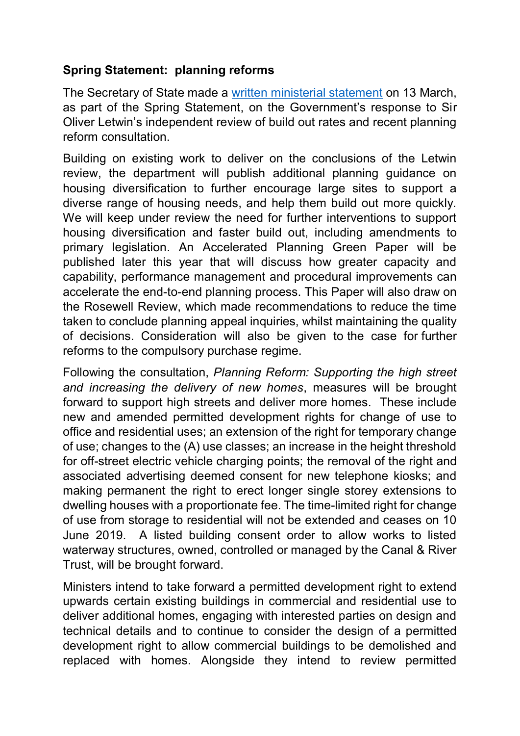### **Spring Statement: planning reforms**

The Secretary of State made a [written ministerial statement](https://www.parliament.uk/business/publications/written-questions-answers-statements/written-statement/Commons/2019-03-13/HCWS1408/) on 13 March, as part of the Spring Statement, on the Government's response to Sir Oliver Letwin's independent review of build out rates and recent planning reform consultation.

Building on existing work to deliver on the conclusions of the Letwin review, the department will publish additional planning guidance on housing diversification to further encourage large sites to support a diverse range of housing needs, and help them build out more quickly. We will keep under review the need for further interventions to support housing diversification and faster build out, including amendments to primary legislation. An Accelerated Planning Green Paper will be published later this year that will discuss how greater capacity and capability, performance management and procedural improvements can accelerate the end-to-end planning process. This Paper will also draw on the Rosewell Review, which made recommendations to reduce the time taken to conclude planning appeal inquiries, whilst maintaining the quality of decisions. Consideration will also be given to the case for further reforms to the compulsory purchase regime.

Following the consultation, *Planning Reform: Supporting the high street and increasing the delivery of new homes*, measures will be brought forward to support high streets and deliver more homes. These include new and amended permitted development rights for change of use to office and residential uses; an extension of the right for temporary change of use; changes to the (A) use classes; an increase in the height threshold for off-street electric vehicle charging points; the removal of the right and associated advertising deemed consent for new telephone kiosks; and making permanent the right to erect longer single storey extensions to dwelling houses with a proportionate fee. The time-limited right for change of use from storage to residential will not be extended and ceases on 10 June 2019. A listed building consent order to allow works to listed waterway structures, owned, controlled or managed by the Canal & River Trust, will be brought forward.

Ministers intend to take forward a permitted development right to extend upwards certain existing buildings in commercial and residential use to deliver additional homes, engaging with interested parties on design and technical details and to continue to consider the design of a permitted development right to allow commercial buildings to be demolished and replaced with homes. Alongside they intend to review permitted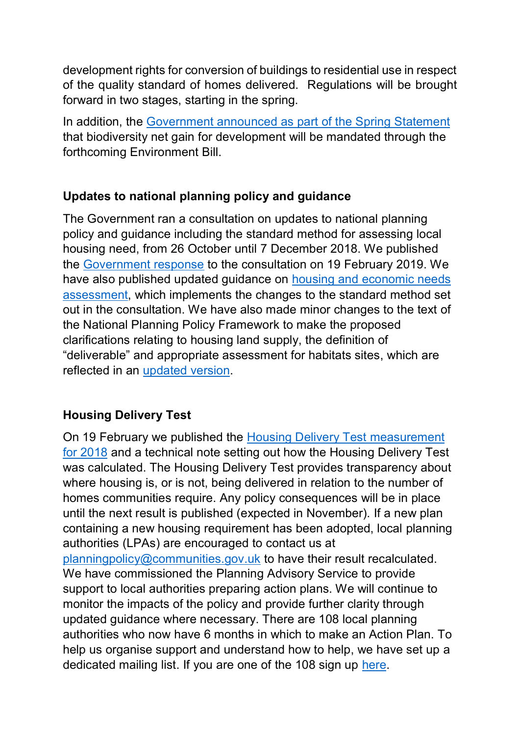development rights for conversion of buildings to residential use in respect of the quality standard of homes delivered. Regulations will be brought forward in two stages, starting in the spring.

In addition, the [Government announced as part of the Spring Statement](https://www.gov.uk/government/speeches/spring-statement-2019-philip-hammonds-speech) that biodiversity net gain for development will be mandated through the forthcoming Environment Bill.

### **Updates to national planning policy and guidance**

The Government ran a consultation on updates to national planning policy and guidance including the standard method for assessing local housing need, from 26 October until 7 December 2018. We published the [Government response](https://www.gov.uk/government/consultations/changes-to-planning-policy-and-guidance-including-the-standard-method-for-assessing-local-housing-need) to the consultation on 19 February 2019. We have also published updated guidance on [housing and economic needs](https://www.gov.uk/guidance/housing-and-economic-development-needs-assessments)  [assessment,](https://www.gov.uk/guidance/housing-and-economic-development-needs-assessments) which implements the changes to the standard method set out in the consultation. We have also made minor changes to the text of the National Planning Policy Framework to make the proposed clarifications relating to housing land supply, the definition of "deliverable" and appropriate assessment for habitats sites, which are reflected in an [updated version.](https://www.gov.uk/government/publications/national-planning-policy-framework--2)

# **Housing Delivery Test**

On 19 February we published the [Housing Delivery Test measurement](https://www.gov.uk/government/publications/housing-delivery-test-2018-measurement)  [for 2018](https://www.gov.uk/government/publications/housing-delivery-test-2018-measurement) and a technical note setting out how the Housing Delivery Test was calculated. The Housing Delivery Test provides transparency about where housing is, or is not, being delivered in relation to the number of homes communities require. Any policy consequences will be in place until the next result is published (expected in November). If a new plan containing a new housing requirement has been adopted, local planning authorities (LPAs) are encouraged to contact us at [planningpolicy@communities.gov.uk](mailto:planningpolicy@communities.gov.uk) to have their result recalculated. We have commissioned the Planning Advisory Service to provide support to local authorities preparing action plans. We will continue to monitor the impacts of the policy and provide further clarity through updated guidance where necessary. There are 108 local planning authorities who now have 6 months in which to make an Action Plan. To help us organise support and understand how to help, we have set up a dedicated mailing list. If you are one of the 108 sign up [here.](https://www.surveymonkey.co.uk/r/LKQYLS8)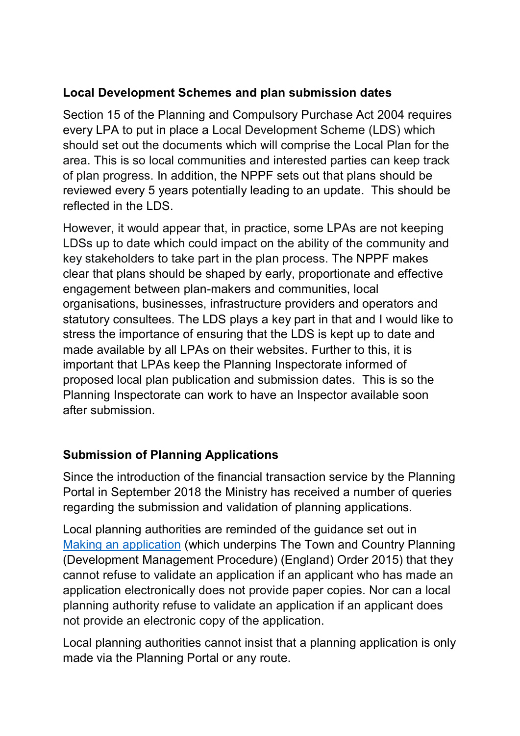## **Local Development Schemes and plan submission dates**

Section 15 of the Planning and Compulsory Purchase Act 2004 requires every LPA to put in place a Local Development Scheme (LDS) which should set out the documents which will comprise the Local Plan for the area. This is so local communities and interested parties can keep track of plan progress. In addition, the NPPF sets out that plans should be reviewed every 5 years potentially leading to an update. This should be reflected in the LDS.

However, it would appear that, in practice, some LPAs are not keeping LDSs up to date which could impact on the ability of the community and key stakeholders to take part in the plan process. The NPPF makes clear that plans should be shaped by early, proportionate and effective engagement between plan-makers and communities, local organisations, businesses, infrastructure providers and operators and statutory consultees. The LDS plays a key part in that and I would like to stress the importance of ensuring that the LDS is kept up to date and made available by all LPAs on their websites. Further to this, it is important that LPAs keep the Planning Inspectorate informed of proposed local plan publication and submission dates. This is so the Planning Inspectorate can work to have an Inspector available soon after submission.

# **Submission of Planning Applications**

Since the introduction of the financial transaction service by the Planning Portal in September 2018 the Ministry has received a number of queries regarding the submission and validation of planning applications.

Local planning authorities are reminded of the guidance set out in [Making an application](https://www.gov.uk/guidance/making-an-application) (which underpins The Town and Country Planning (Development Management Procedure) (England) Order 2015) that they cannot refuse to validate an application if an applicant who has made an application electronically does not provide paper copies. Nor can a local planning authority refuse to validate an application if an applicant does not provide an electronic copy of the application.

Local planning authorities cannot insist that a planning application is only made via the Planning Portal or any route.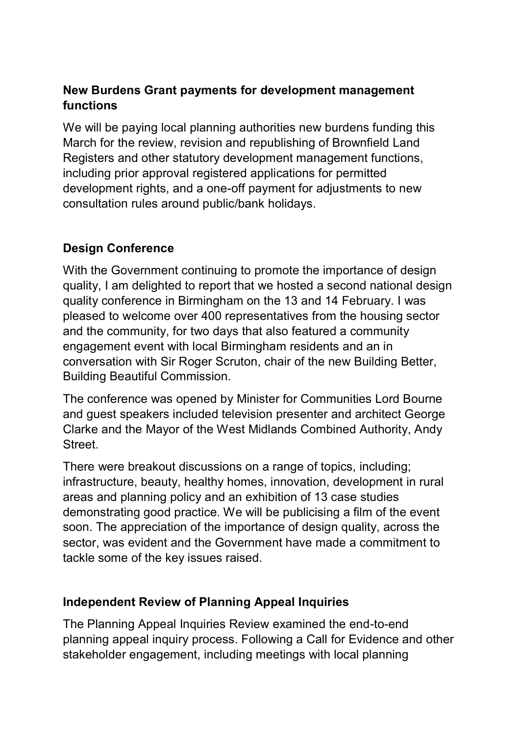## **New Burdens Grant payments for development management functions**

We will be paying local planning authorities new burdens funding this March for the review, revision and republishing of Brownfield Land Registers and other statutory development management functions, including prior approval registered applications for permitted development rights, and a one-off payment for adjustments to new consultation rules around public/bank holidays.

## **Design Conference**

With the Government continuing to promote the importance of design quality, I am delighted to report that we hosted a second national design quality conference in Birmingham on the 13 and 14 February. I was pleased to welcome over 400 representatives from the housing sector and the community, for two days that also featured a community engagement event with local Birmingham residents and an in conversation with Sir Roger Scruton, chair of the new Building Better, Building Beautiful Commission.

The conference was opened by Minister for Communities Lord Bourne and guest speakers included television presenter and architect George Clarke and the Mayor of the West Midlands Combined Authority, Andy **Street** 

There were breakout discussions on a range of topics, including; infrastructure, beauty, healthy homes, innovation, development in rural areas and planning policy and an exhibition of 13 case studies demonstrating good practice. We will be publicising a film of the event soon. The appreciation of the importance of design quality, across the sector, was evident and the Government have made a commitment to tackle some of the key issues raised.

### **Independent Review of Planning Appeal Inquiries**

The Planning Appeal Inquiries Review examined the end-to-end planning appeal inquiry process. Following a Call for Evidence and other stakeholder engagement, including meetings with local planning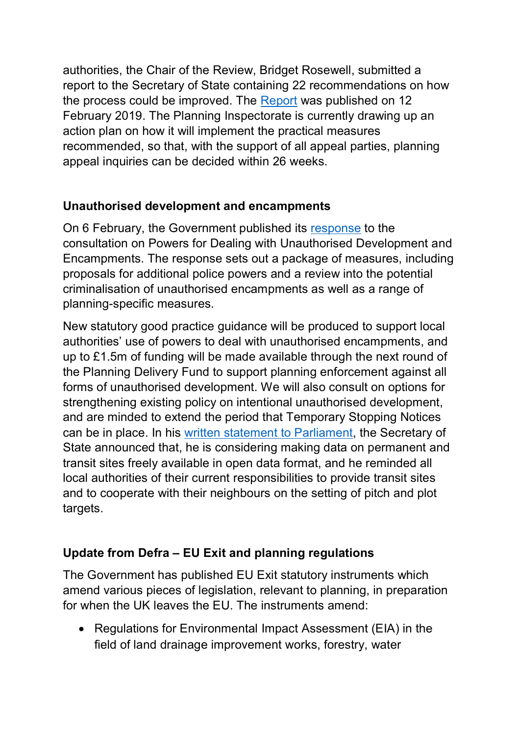authorities, the Chair of the Review, Bridget Rosewell, submitted a report to the Secretary of State containing 22 recommendations on how the process could be improved. The [Report](https://www.gov.uk/government/publications/independent-review-of-planning-appeal-inquiries-report) was published on 12 February 2019. The Planning Inspectorate is currently drawing up an action plan on how it will implement the practical measures recommended, so that, with the support of all appeal parties, planning appeal inquiries can be decided within 26 weeks.

### **Unauthorised development and encampments**

On 6 February, the Government published its [response](https://assets.publishing.service.gov.uk/government/uploads/system/uploads/attachment_data/file/776942/Unauthorised_development_and_encampments_response.pdf) to the consultation on Powers for Dealing with Unauthorised Development and Encampments. The response sets out a package of measures, including proposals for additional police powers and a review into the potential criminalisation of unauthorised encampments as well as a range of planning-specific measures.

New statutory good practice guidance will be produced to support local authorities' use of powers to deal with unauthorised encampments, and up to £1.5m of funding will be made available through the next round of the Planning Delivery Fund to support planning enforcement against all forms of unauthorised development. We will also consult on options for strengthening existing policy on intentional unauthorised development, and are minded to extend the period that Temporary Stopping Notices can be in place. In his [written statement to Parliament,](https://www.parliament.uk/business/publications/written-questions-answers-statements/written-statement/Commons/2019-02-06/HCWS1305) the Secretary of State announced that, he is considering making data on permanent and transit sites freely available in open data format, and he reminded all local authorities of their current responsibilities to provide transit sites and to cooperate with their neighbours on the setting of pitch and plot targets.

### **Update from Defra – EU Exit and planning regulations**

The Government has published EU Exit statutory instruments which amend various pieces of legislation, relevant to planning, in preparation for when the UK leaves the EU. The instruments amend:

• Regulations for Environmental Impact Assessment (EIA) in the field of land drainage improvement works, forestry, water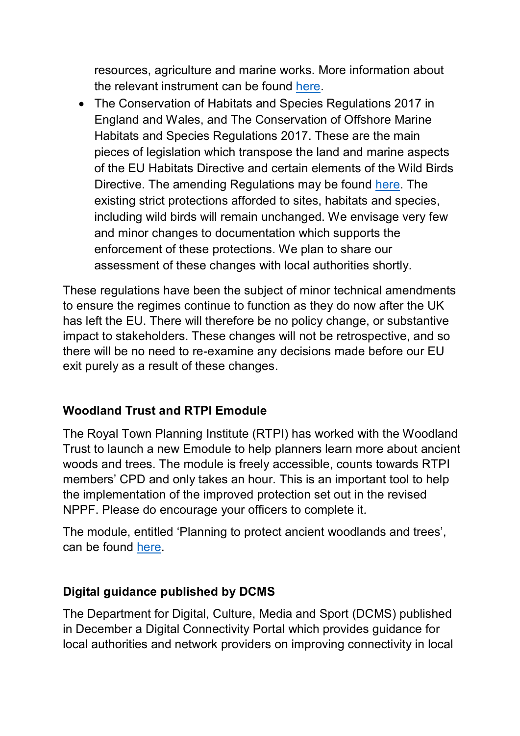resources, agriculture and marine works. More information about the relevant instrument can be found [here.](https://www.gov.uk/eu-withdrawal-act-2018-statutory-instruments/the-environment-food-and-rural-affairs-environmental-impact-assessment-amendment-eu-exit-regulations-2018)

• The Conservation of Habitats and Species Regulations 2017 in England and Wales, and The Conservation of Offshore Marine Habitats and Species Regulations 2017. These are the main pieces of legislation which transpose the land and marine aspects of the EU Habitats Directive and certain elements of the Wild Birds Directive. The amending Regulations may be found [here.](http://www.legislation.gov.uk/ukdsi/2019/9780111176573) The existing strict protections afforded to sites, habitats and species, including wild birds will remain unchanged. We envisage very few and minor changes to documentation which supports the enforcement of these protections. We plan to share our assessment of these changes with local authorities shortly.

These regulations have been the subject of minor technical amendments to ensure the regimes continue to function as they do now after the UK has left the EU. There will therefore be no policy change, or substantive impact to stakeholders. These changes will not be retrospective, and so there will be no need to re-examine any decisions made before our EU exit purely as a result of these changes.

### **Woodland Trust and RTPI Emodule**

The Royal Town Planning Institute (RTPI) has worked with the Woodland Trust to launch a new Emodule to help planners learn more about ancient woods and trees. The module is freely accessible, counts towards RTPI members' CPD and only takes an hour. This is an important tool to help the implementation of the improved protection set out in the revised NPPF. Please do encourage your officers to complete it*.* 

The module, entitled 'Planning to protect ancient woodlands and trees', can be found [here.](https://www.rtpilearn.org.uk/)

### **Digital guidance published by DCMS**

The Department for Digital, Culture, Media and Sport (DCMS) published in December a Digital Connectivity Portal which provides guidance for local authorities and network providers on improving connectivity in local